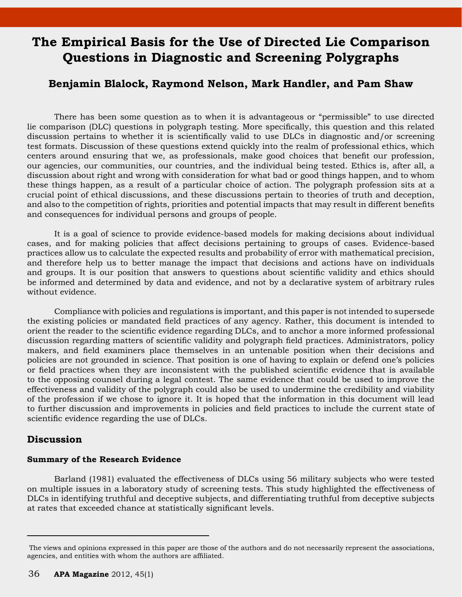# **The Empirical Basis for the Use of Directed Lie Comparison Questions in Diagnostic and Screening Polygraphs**

## **Benjamin Blalock, Raymond Nelson, Mark Handler, and Pam Shaw**

There has been some question as to when it is advantageous or "permissible" to use directed lie comparison (DLC) questions in polygraph testing. More specifically, this question and this related discussion pertains to whether it is scientifically valid to use DLCs in diagnostic and/or screening test formats. Discussion of these questions extend quickly into the realm of professional ethics, which centers around ensuring that we, as professionals, make good choices that benefit our profession, our agencies, our communities, our countries, and the individual being tested. Ethics is, after all, a discussion about right and wrong with consideration for what bad or good things happen, and to whom these things happen, as a result of a particular choice of action. The polygraph profession sits at a crucial point of ethical discussions, and these discussions pertain to theories of truth and deception, and also to the competition of rights, priorities and potential impacts that may result in different benefits and consequences for individual persons and groups of people.

It is a goal of science to provide evidence-based models for making decisions about individual cases, and for making policies that affect decisions pertaining to groups of cases. Evidence-based practices allow us to calculate the expected results and probability of error with mathematical precision, and therefore help us to better manage the impact that decisions and actions have on individuals and groups. It is our position that answers to questions about scientific validity and ethics should be informed and determined by data and evidence, and not by a declarative system of arbitrary rules without evidence.

Compliance with policies and regulations is important, and this paper is not intended to supersede the existing policies or mandated field practices of any agency. Rather, this document is intended to orient the reader to the scientific evidence regarding DLCs, and to anchor a more informed professional discussion regarding matters of scientific validity and polygraph field practices. Administrators, policy makers, and field examiners place themselves in an untenable position when their decisions and policies are not grounded in science. That position is one of having to explain or defend one's policies or field practices when they are inconsistent with the published scientific evidence that is available to the opposing counsel during a legal contest. The same evidence that could be used to improve the effectiveness and validity of the polygraph could also be used to undermine the credibility and viability of the profession if we chose to ignore it. It is hoped that the information in this document will lead to further discussion and improvements in policies and field practices to include the current state of scientific evidence regarding the use of DLCs.

### **Discussion**

### **Summary of the Research Evidence**

Barland (1981) evaluated the effectiveness of DLCs using 56 military subjects who were tested on multiple issues in a laboratory study of screening tests. This study highlighted the effectiveness of DLCs in identifying truthful and deceptive subjects, and differentiating truthful from deceptive subjects at rates that exceeded chance at statistically significant levels.

The views and opinions expressed in this paper are those of the authors and do not necessarily represent the associations, agencies, and entities with whom the authors are affiliated.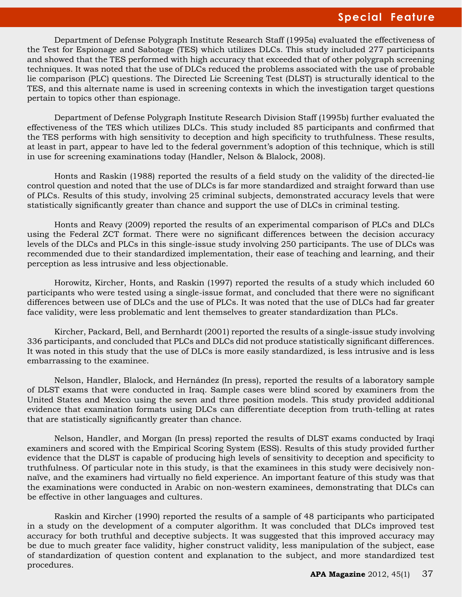# **Special Feature**

Department of Defense Polygraph Institute Research Staff (1995a) evaluated the effectiveness of the Test for Espionage and Sabotage (TES) which utilizes DLCs. This study included 277 participants and showed that the TES performed with high accuracy that exceeded that of other polygraph screening techniques. It was noted that the use of DLCs reduced the problems associated with the use of probable lie comparison (PLC) questions. The Directed Lie Screening Test (DLST) is structurally identical to the TES, and this alternate name is used in screening contexts in which the investigation target questions pertain to topics other than espionage.

Department of Defense Polygraph Institute Research Division Staff (1995b) further evaluated the effectiveness of the TES which utilizes DLCs. This study included 85 participants and confirmed that the TES performs with high sensitivity to deception and high specificity to truthfulness. These results, at least in part, appear to have led to the federal government's adoption of this technique, which is still in use for screening examinations today (Handler, Nelson & Blalock, 2008).

Honts and Raskin (1988) reported the results of a field study on the validity of the directed-lie control question and noted that the use of DLCs is far more standardized and straight forward than use of PLCs. Results of this study, involving 25 criminal subjects, demonstrated accuracy levels that were statistically significantly greater than chance and support the use of DLCs in criminal testing.

Honts and Reavy (2009) reported the results of an experimental comparison of PLCs and DLCs using the Federal ZCT format. There were no significant differences between the decision accuracy levels of the DLCs and PLCs in this single-issue study involving 250 participants. The use of DLCs was recommended due to their standardized implementation, their ease of teaching and learning, and their perception as less intrusive and less objectionable.

Horowitz, Kircher, Honts, and Raskin (1997) reported the results of a study which included 60 participants who were tested using a single-issue format, and concluded that there were no significant differences between use of DLCs and the use of PLCs. It was noted that the use of DLCs had far greater face validity, were less problematic and lent themselves to greater standardization than PLCs.

Kircher, Packard, Bell, and Bernhardt (2001) reported the results of a single-issue study involving 336 participants, and concluded that PLCs and DLCs did not produce statistically significant differences. It was noted in this study that the use of DLCs is more easily standardized, is less intrusive and is less embarrassing to the examinee.

Nelson, Handler, Blalock, and Hernández (In press), reported the results of a laboratory sample of DLST exams that were conducted in Iraq. Sample cases were blind scored by examiners from the United States and Mexico using the seven and three position models. This study provided additional evidence that examination formats using DLCs can differentiate deception from truth-telling at rates that are statistically significantly greater than chance.

Nelson, Handler, and Morgan (In press) reported the results of DLST exams conducted by Iraqi examiners and scored with the Empirical Scoring System (ESS). Results of this study provided further evidence that the DLST is capable of producing high levels of sensitivity to deception and specificity to truthfulness. Of particular note in this study, is that the examinees in this study were decisively nonnaïve, and the examiners had virtually no field experience. An important feature of this study was that the examinations were conducted in Arabic on non-western examinees, demonstrating that DLCs can be effective in other languages and cultures.

Raskin and Kircher (1990) reported the results of a sample of 48 participants who participated in a study on the development of a computer algorithm. It was concluded that DLCs improved test accuracy for both truthful and deceptive subjects. It was suggested that this improved accuracy may be due to much greater face validity, higher construct validity, less manipulation of the subject, ease of standardization of question content and explanation to the subject, and more standardized test procedures.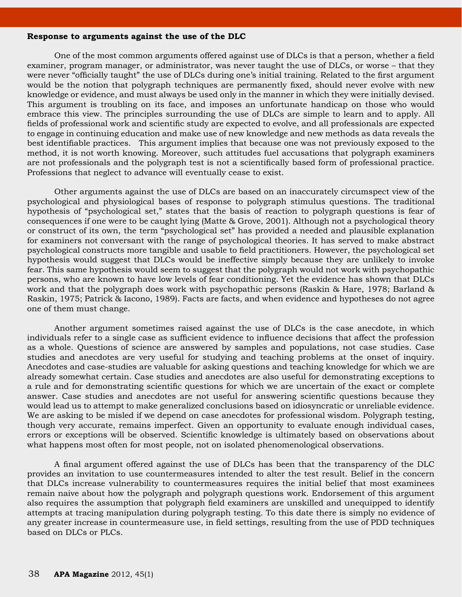#### **Response to arguments against the use of the DLC**

One of the most common arguments offered against use of DLCs is that a person, whether a field examiner, program manager, or administrator, was never taught the use of DLCs, or worse – that they were never "officially taught" the use of DLCs during one's initial training. Related to the first argument would be the notion that polygraph techniques are permanently fixed, should never evolve with new knowledge or evidence, and must always be used only in the manner in which they were initially devised. This argument is troubling on its face, and imposes an unfortunate handicap on those who would embrace this view. The principles surrounding the use of DLCs are simple to learn and to apply. All fields of professional work and scientific study are expected to evolve, and all professionals are expected to engage in continuing education and make use of new knowledge and new methods as data reveals the best identifiable practices. This argument implies that because one was not previously exposed to the method, it is not worth knowing. Moreover, such attitudes fuel accusations that polygraph examiners are not professionals and the polygraph test is not a scientifically based form of professional practice. Professions that neglect to advance will eventually cease to exist.

Other arguments against the use of DLCs are based on an inaccurately circumspect view of the psychological and physiological bases of response to polygraph stimulus questions. The traditional hypothesis of "psychological set," states that the basis of reaction to polygraph questions is fear of consequences if one were to be caught lying (Matte & Grove, 2001). Although not a psychological theory or construct of its own, the term "psychological set" has provided a needed and plausible explanation for examiners not conversant with the range of psychological theories. It has served to make abstract psychological constructs more tangible and usable to field practitioners. However, the psychological set hypothesis would suggest that DLCs would be ineffective simply because they are unlikely to invoke fear. This same hypothesis would seem to suggest that the polygraph would not work with psychopathic persons, who are known to have low levels of fear conditioning. Yet the evidence has shown that DLCs work and that the polygraph does work with psychopathic persons (Raskin & Hare, 1978; Barland & Raskin, 1975; Patrick & Iacono, 1989). Facts are facts, and when evidence and hypotheses do not agree one of them must change.

Another argument sometimes raised against the use of DLCs is the case anecdote, in which individuals refer to a single case as sufficient evidence to influence decisions that affect the profession as a whole. Questions of science are answered by samples and populations, not case studies. Case studies and anecdotes are very useful for studying and teaching problems at the onset of inquiry. Anecdotes and case-studies are valuable for asking questions and teaching knowledge for which we are already somewhat certain. Case studies and anecdotes are also useful for demonstrating exceptions to a rule and for demonstrating scientific questions for which we are uncertain of the exact or complete answer. Case studies and anecdotes are not useful for answering scientific questions because they would lead us to attempt to make generalized conclusions based on idiosyncratic or unreliable evidence. We are asking to be misled if we depend on case anecdotes for professional wisdom. Polygraph testing, though very accurate, remains imperfect. Given an opportunity to evaluate enough individual cases, errors or exceptions will be observed. Scientific knowledge is ultimately based on observations about what happens most often for most people, not on isolated phenomenological observations.

A final argument offered against the use of DLCs has been that the transparency of the DLC provides an invitation to use countermeasures intended to alter the test result. Belief in the concern that DLCs increase vulnerability to countermeasures requires the initial belief that most examinees remain naive about how the polygraph and polygraph questions work. Endorsement of this argument also requires the assumption that polygraph field examiners are unskilled and unequipped to identify attempts at tracing manipulation during polygraph testing. To this date there is simply no evidence of any greater increase in countermeasure use, in field settings, resulting from the use of PDD techniques based on DLCs or PLCs.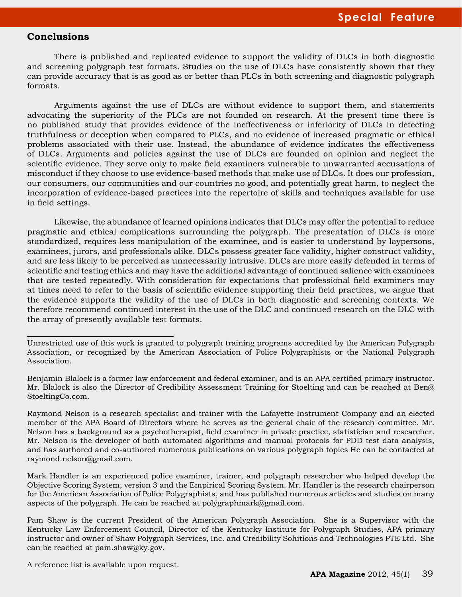### **Conclusions**

There is published and replicated evidence to support the validity of DLCs in both diagnostic and screening polygraph test formats. Studies on the use of DLCs have consistently shown that they can provide accuracy that is as good as or better than PLCs in both screening and diagnostic polygraph formats.

Arguments against the use of DLCs are without evidence to support them, and statements advocating the superiority of the PLCs are not founded on research. At the present time there is no published study that provides evidence of the ineffectiveness or inferiority of DLCs in detecting truthfulness or deception when compared to PLCs, and no evidence of increased pragmatic or ethical problems associated with their use. Instead, the abundance of evidence indicates the effectiveness of DLCs. Arguments and policies against the use of DLCs are founded on opinion and neglect the scientific evidence. They serve only to make field examiners vulnerable to unwarranted accusations of misconduct if they choose to use evidence-based methods that make use of DLCs. It does our profession, our consumers, our communities and our countries no good, and potentially great harm, to neglect the incorporation of evidence-based practices into the repertoire of skills and techniques available for use in field settings.

Likewise, the abundance of learned opinions indicates that DLCs may offer the potential to reduce pragmatic and ethical complications surrounding the polygraph. The presentation of DLCs is more standardized, requires less manipulation of the examinee, and is easier to understand by laypersons, examinees, jurors, and professionals alike. DLCs possess greater face validity, higher construct validity, and are less likely to be perceived as unnecessarily intrusive. DLCs are more easily defended in terms of scientific and testing ethics and may have the additional advantage of continued salience with examinees that are tested repeatedly. With consideration for expectations that professional field examiners may at times need to refer to the basis of scientific evidence supporting their field practices, we argue that the evidence supports the validity of the use of DLCs in both diagnostic and screening contexts. We therefore recommend continued interest in the use of the DLC and continued research on the DLC with the array of presently available test formats.

Raymond Nelson is a research specialist and trainer with the Lafayette Instrument Company and an elected member of the APA Board of Directors where he serves as the general chair of the research committee. Mr. Nelson has a background as a psychotherapist, field examiner in private practice, statistician and researcher. Mr. Nelson is the developer of both automated algorithms and manual protocols for PDD test data analysis, and has authored and co-authored numerous publications on various polygraph topics He can be contacted at raymond.nelson@gmail.com.

Mark Handler is an experienced police examiner, trainer, and polygraph researcher who helped develop the Objective Scoring System, version 3 and the Empirical Scoring System. Mr. Handler is the research chairperson for the American Association of Police Polygraphists, and has published numerous articles and studies on many aspects of the polygraph. He can be reached at polygraphmark@gmail.com.

Pam Shaw is the current President of the American Polygraph Association. She is a Supervisor with the Kentucky Law Enforcement Council, Director of the Kentucky Institute for Polygraph Studies, APA primary instructor and owner of Shaw Polygraph Services, Inc. and Credibility Solutions and Technologies PTE Ltd. She can be reached at pam.shaw@ky.gov.

A reference list is available upon request.

Unrestricted use of this work is granted to polygraph training programs accredited by the American Polygraph Association, or recognized by the American Association of Police Polygraphists or the National Polygraph Association.

Benjamin Blalock is a former law enforcement and federal examiner, and is an APA certified primary instructor. Mr. Blalock is also the Director of Credibility Assessment Training for Stoelting and can be reached at Ben@ StoeltingCo.com.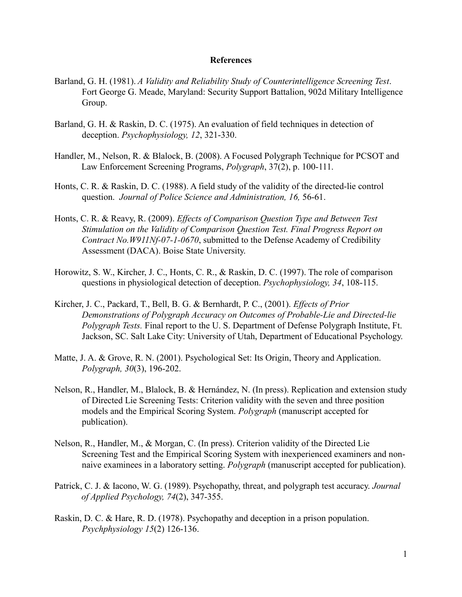### **References**

- Barland, G. H. (1981). *A Validity and Reliability Study of Counterintelligence Screening Test*. Fort George G. Meade, Maryland: Security Support Battalion, 902d Military Intelligence Group.
- Barland, G. H. & Raskin, D. C. (1975). An evaluation of field techniques in detection of deception. *Psychophysiology, 12*, 321-330.
- Handler, M., Nelson, R. & Blalock, B. (2008). A Focused Polygraph Technique for PCSOT and Law Enforcement Screening Programs, *Polygraph*, 37(2), p. 100-111.
- Honts, C. R. & Raskin, D. C. (1988). A field study of the validity of the directed-lie control question. *Journal of Police Science and Administration, 16,* 56-61.
- Honts, C. R. & Reavy, R. (2009). *Effects of Comparison Question Type and Between Test Stimulation on the Validity of Comparison Question Test. Final Progress Report on Contract No.W911Nf-07-1-0670*, submitted to the Defense Academy of Credibility Assessment (DACA). Boise State University.
- Horowitz, S. W., Kircher, J. C., Honts, C. R., & Raskin, D. C. (1997). The role of comparison questions in physiological detection of deception. *Psychophysiology, 34*, 108-115.
- Kircher, J. C., Packard, T., Bell, B. G. & Bernhardt, P. C., (2001). *Effects of Prior Demonstrations of Polygraph Accuracy on Outcomes of Probable-Lie and Directed-lie Polygraph Tests.* Final report to the U. S. Department of Defense Polygraph Institute, Ft. Jackson, SC. Salt Lake City: University of Utah, Department of Educational Psychology.
- Matte, J. A. & Grove, R. N. (2001). Psychological Set: Its Origin, Theory and Application. *Polygraph, 30*(3), 196-202.
- Nelson, R., Handler, M., Blalock, B. & Hernández, N. (In press). Replication and extension study of Directed Lie Screening Tests: Criterion validity with the seven and three position models and the Empirical Scoring System. *Polygraph* (manuscript accepted for publication).
- Nelson, R., Handler, M., & Morgan, C. (In press). Criterion validity of the Directed Lie Screening Test and the Empirical Scoring System with inexperienced examiners and nonnaive examinees in a laboratory setting. *Polygraph* (manuscript accepted for publication).
- Patrick, C. J. & Iacono, W. G. (1989). Psychopathy, threat, and polygraph test accuracy. *Journal of Applied Psychology, 74*(2), 347-355.
- Raskin, D. C. & Hare, R. D. (1978). Psychopathy and deception in a prison population. *Psychphysiology 15*(2) 126-136.